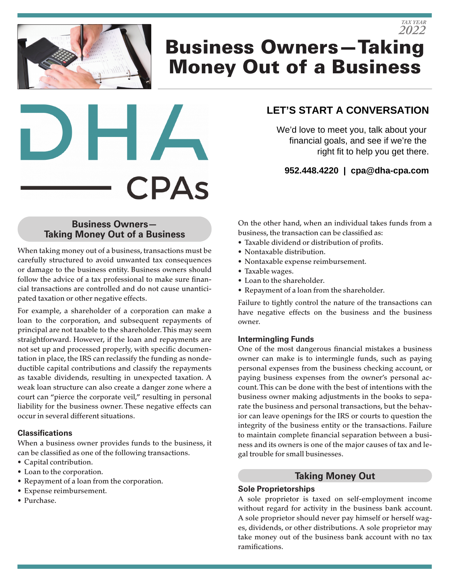# Business Owners—Taking Money Out of a Business *2022*



# **LET'S START A CONVERSATION**

*TAX YEAR*

We'd love to meet you, talk about your financial goals, and see if we're the right fit to help you get there.

**952.448.4220 | cpa@dha-cpa.com**

# **Business Owners— Taking Money Out of a Business**

When taking money out of a business, transactions must be carefully structured to avoid unwanted tax consequences or damage to the business entity. Business owners should follow the advice of a tax professional to make sure financial transactions are controlled and do not cause unanticipated taxation or other negative effects.

For example, a shareholder of a corporation can make a loan to the corporation, and subsequent repayments of principal are not taxable to the shareholder. This may seem straightforward. However, if the loan and repayments are not set up and processed properly, with specific documentation in place, the IRS can reclassify the funding as nondeductible capital contributions and classify the repayments as taxable dividends, resulting in unexpected taxation. A weak loan structure can also create a danger zone where a court can "pierce the corporate veil," resulting in personal liability for the business owner. These negative effects can occur in several different situations.

#### **Classifications**

When a business owner provides funds to the business, it can be classified as one of the following transactions.

- Capital contribution.
- Loan to the corporation.
- Repayment of a loan from the corporation.
- Expense reimbursement.
- Purchase.

On the other hand, when an individual takes funds from a business, the transaction can be classified as:

- Taxable dividend or distribution of profits.
- Nontaxable distribution.
- Nontaxable expense reimbursement.
- Taxable wages.
- Loan to the shareholder.
- Repayment of a loan from the shareholder.

Failure to tightly control the nature of the transactions can have negative effects on the business and the business owner.

#### **Intermingling Funds**

One of the most dangerous financial mistakes a business owner can make is to intermingle funds, such as paying personal expenses from the business checking account, or paying business expenses from the owner's personal account. This can be done with the best of intentions with the business owner making adjustments in the books to separate the business and personal transactions, but the behavior can leave openings for the IRS or courts to question the integrity of the business entity or the transactions. Failure to maintain complete financial separation between a business and its owners is one of the major causes of tax and legal trouble for small businesses.

# **Taking Money Out**

## **Sole Proprietorships**

A sole proprietor is taxed on self-employment income without regard for activity in the business bank account. A sole proprietor should never pay himself or herself wages, dividends, or other distributions. A sole proprietor may take money out of the business bank account with no tax ramifications.